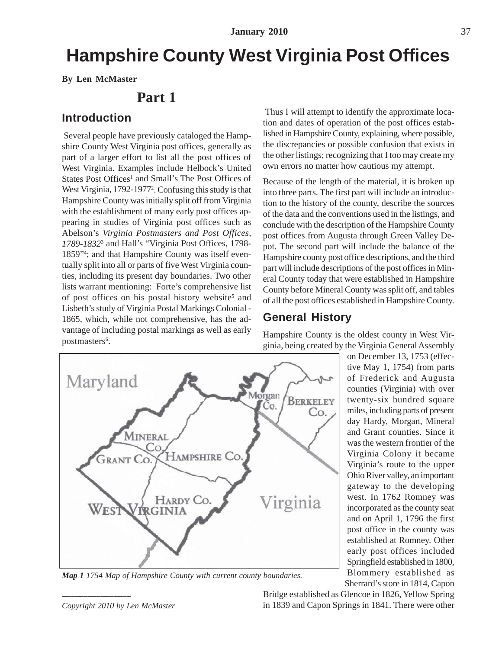# **Hampshire County West Virginia Post Offices**

**By Len McMaster**

# **Part 1**

### **Introduction**

 Several people have previously cataloged the Hampshire County West Virginia post offices, generally as part of a larger effort to list all the post offices of West Virginia. Examples include Helbock's United States Post Offices<sup>1</sup> and Small's The Post Offices of West Virginia, 1792-1977<sup>2</sup>. Confusing this study is that Hampshire County was initially split off from Virginia with the establishment of many early post offices appearing in studies of Virginia post offices such as Abelson's *Virginia Postmasters and Post Offices, 1789-1832*<sup>3</sup> and Hall's "Virginia Post Offices, 1798- 1859"4 ; and that Hampshire County was itself eventually split into all or parts of five West Virginia counties, including its present day boundaries. Two other lists warrant mentioning: Forte's comprehensive list of post offices on his postal history website<sup>5</sup> and Lisbeth's study of Virginia Postal Markings Colonial - 1865, which, while not comprehensive, has the advantage of including postal markings as well as early postmasters<sup>6</sup>.



*Map 1 1754 Map of Hampshire County with current county boundaries.*

*––––––––––––––––*

 Thus I will attempt to identify the approximate location and dates of operation of the post offices established in Hampshire County, explaining, where possible, the discrepancies or possible confusion that exists in the other listings; recognizing that I too may create my own errors no matter how cautious my attempt.

Because of the length of the material, it is broken up into three parts. The first part will include an introduction to the history of the county, describe the sources of the data and the conventions used in the listings, and conclude with the description of the Hampshire County post offices from Augusta through Green Valley Depot. The second part will include the balance of the Hampshire county post office descriptions, and the third part will include descriptions of the post offices in Mineral County today that were established in Hampshire County before Mineral County was split off, and tables of all the post offices established in Hampshire County.

### **General History**

Hampshire County is the oldest county in West Virginia, being created by the Virginia General Assembly

> on December 13, 1753 (effective May 1, 1754) from parts of Frederick and Augusta counties (Virginia) with over twenty-six hundred square miles, including parts of present day Hardy, Morgan, Mineral and Grant counties. Since it was the western frontier of the Virginia Colony it became Virginia's route to the upper Ohio River valley, an important gateway to the developing west. In 1762 Romney was incorporated as the county seat and on April 1, 1796 the first post office in the county was established at Romney. Other early post offices included Springfield established in 1800, Blommery established as Sherrard's store in 1814, Capon

Bridge established as Glencoe in 1826, Yellow Spring in 1839 and Capon Springs in 1841. There were other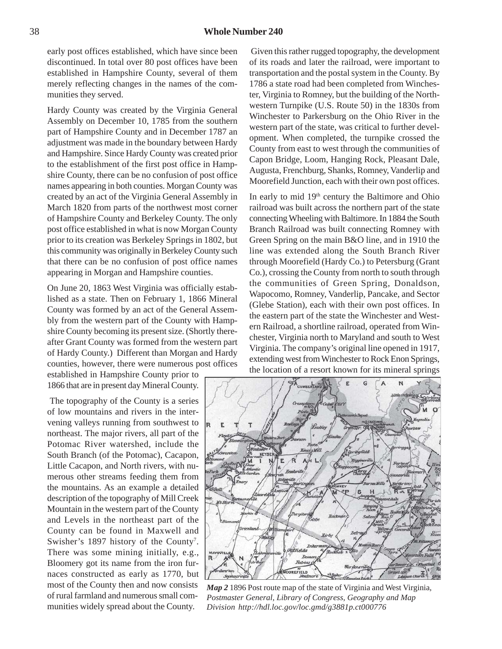early post offices established, which have since been discontinued. In total over 80 post offices have been established in Hampshire County, several of them merely reflecting changes in the names of the communities they served.

Hardy County was created by the Virginia General Assembly on December 10, 1785 from the southern part of Hampshire County and in December 1787 an adjustment was made in the boundary between Hardy and Hampshire. Since Hardy County was created prior to the establishment of the first post office in Hampshire County, there can be no confusion of post office names appearing in both counties. Morgan County was created by an act of the Virginia General Assembly in March 1820 from parts of the northwest most corner of Hampshire County and Berkeley County. The only post office established in what is now Morgan County prior to its creation was Berkeley Springs in 1802, but this community was originally in Berkeley County such that there can be no confusion of post office names appearing in Morgan and Hampshire counties.

On June 20, 1863 West Virginia was officially established as a state. Then on February 1, 1866 Mineral County was formed by an act of the General Assembly from the western part of the County with Hampshire County becoming its present size. (Shortly thereafter Grant County was formed from the western part of Hardy County.) Different than Morgan and Hardy counties, however, there were numerous post offices

established in Hampshire County prior to 1866 that are in present day Mineral County.

 The topography of the County is a series of low mountains and rivers in the intervening valleys running from southwest to northeast. The major rivers, all part of the Potomac River watershed, include the South Branch (of the Potomac), Cacapon, Little Cacapon, and North rivers, with numerous other streams feeding them from the mountains. As an example a detailed description of the topography of Mill Creek Mountain in the western part of the County and Levels in the northeast part of the County can be found in Maxwell and Swisher's 1897 history of the County<sup>7</sup>. There was some mining initially, e.g., Bloomery got its name from the iron furnaces constructed as early as 1770, but most of the County then and now consists of rural farmland and numerous small communities widely spread about the County.

 Given this rather rugged topography, the development of its roads and later the railroad, were important to transportation and the postal system in the County. By 1786 a state road had been completed from Winchester, Virginia to Romney, but the building of the Northwestern Turnpike (U.S. Route 50) in the 1830s from Winchester to Parkersburg on the Ohio River in the western part of the state, was critical to further development. When completed, the turnpike crossed the County from east to west through the communities of Capon Bridge, Loom, Hanging Rock, Pleasant Dale, Augusta, Frenchburg, Shanks, Romney, Vanderlip and Moorefield Junction, each with their own post offices.

In early to mid 19<sup>th</sup> century the Baltimore and Ohio railroad was built across the northern part of the state connecting Wheeling with Baltimore. In 1884 the South Branch Railroad was built connecting Romney with Green Spring on the main B&O line, and in 1910 the line was extended along the South Branch River through Moorefield (Hardy Co.) to Petersburg (Grant Co.), crossing the County from north to south through the communities of Green Spring, Donaldson, Wapocomo, Romney, Vanderlip, Pancake, and Sector (Glebe Station), each with their own post offices. In the eastern part of the state the Winchester and Western Railroad, a shortline railroad, operated from Winchester, Virginia north to Maryland and south to West Virginia. The company's original line opened in 1917, extending west from Winchester to Rock Enon Springs, the location of a resort known for its mineral springs



*Map 2* 1896 Post route map of the state of Virginia and West Virginia*, Postmaster General, Library of Congress, Geography and Map Division http://hdl.loc.gov/loc.gmd/g3881p.ct000776*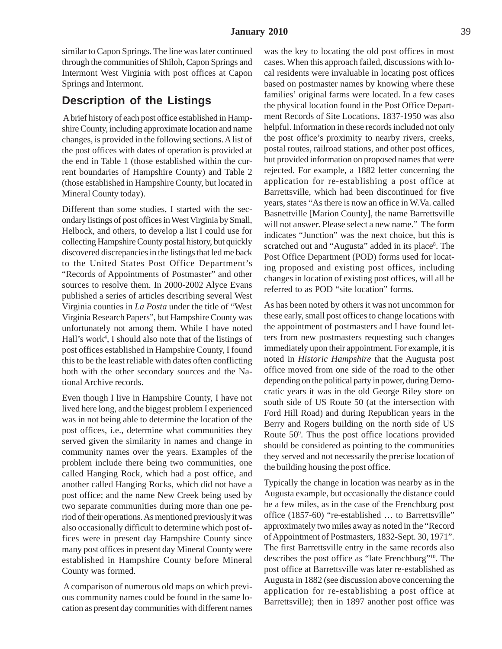similar to Capon Springs. The line was later continued through the communities of Shiloh, Capon Springs and Intermont West Virginia with post offices at Capon Springs and Intermont.

### **Description of the Listings**

 A brief history of each post office established in Hampshire County, including approximate location and name changes, is provided in the following sections. A list of the post offices with dates of operation is provided at the end in Table 1 (those established within the current boundaries of Hampshire County) and Table 2 (those established in Hampshire County, but located in Mineral County today).

Different than some studies, I started with the secondary listings of post offices in West Virginia by Small, Helbock, and others, to develop a list I could use for collecting Hampshire County postal history, but quickly discovered discrepancies in the listings that led me back to the United States Post Office Department's "Records of Appointments of Postmaster" and other sources to resolve them. In 2000-2002 Alyce Evans published a series of articles describing several West Virginia counties in *La Posta* under the title of "West Virginia Research Papers", but Hampshire County was unfortunately not among them. While I have noted Hall's work<sup>4</sup>, I should also note that of the listings of post offices established in Hampshire County, I found this to be the least reliable with dates often conflicting both with the other secondary sources and the National Archive records.

Even though I live in Hampshire County, I have not lived here long, and the biggest problem I experienced was in not being able to determine the location of the post offices, i.e., determine what communities they served given the similarity in names and change in community names over the years. Examples of the problem include there being two communities, one called Hanging Rock, which had a post office, and another called Hanging Rocks, which did not have a post office; and the name New Creek being used by two separate communities during more than one period of their operations. As mentioned previously it was also occasionally difficult to determine which post offices were in present day Hampshire County since many post offices in present day Mineral County were established in Hampshire County before Mineral County was formed.

 A comparison of numerous old maps on which previous community names could be found in the same location as present day communities with different names

was the key to locating the old post offices in most cases. When this approach failed, discussions with local residents were invaluable in locating post offices based on postmaster names by knowing where these families' original farms were located. In a few cases the physical location found in the Post Office Department Records of Site Locations, 1837-1950 was also helpful. Information in these records included not only the post office's proximity to nearby rivers, creeks, postal routes, railroad stations, and other post offices, but provided information on proposed names that were rejected. For example, a 1882 letter concerning the application for re-establishing a post office at Barrettsville, which had been discontinued for five years, states "As there is now an office in W.Va. called Basnettville [Marion County], the name Barrettsville will not answer. Please select a new name." The form indicates "Junction" was the next choice, but this is scratched out and "Augusta" added in its place<sup>8</sup>. The Post Office Department (POD) forms used for locating proposed and existing post offices, including changes in location of existing post offices, will all be referred to as POD "site location" forms.

As has been noted by others it was not uncommon for these early, small post offices to change locations with the appointment of postmasters and I have found letters from new postmasters requesting such changes immediately upon their appointment. For example, it is noted in *Historic Hampshire* that the Augusta post office moved from one side of the road to the other depending on the political party in power, during Democratic years it was in the old George Riley store on south side of US Route 50 (at the intersection with Ford Hill Road) and during Republican years in the Berry and Rogers building on the north side of US Route 509 . Thus the post office locations provided should be considered as pointing to the communities they served and not necessarily the precise location of the building housing the post office.

Typically the change in location was nearby as in the Augusta example, but occasionally the distance could be a few miles, as in the case of the Frenchburg post office (1857-60) "re-established … to Barrettsville" approximately two miles away as noted in the "Record of Appointment of Postmasters, 1832-Sept. 30, 1971". The first Barrettsville entry in the same records also describes the post office as "late Frenchburg"10. The post office at Barrettsville was later re-established as Augusta in 1882 (see discussion above concerning the application for re-establishing a post office at Barrettsville); then in 1897 another post office was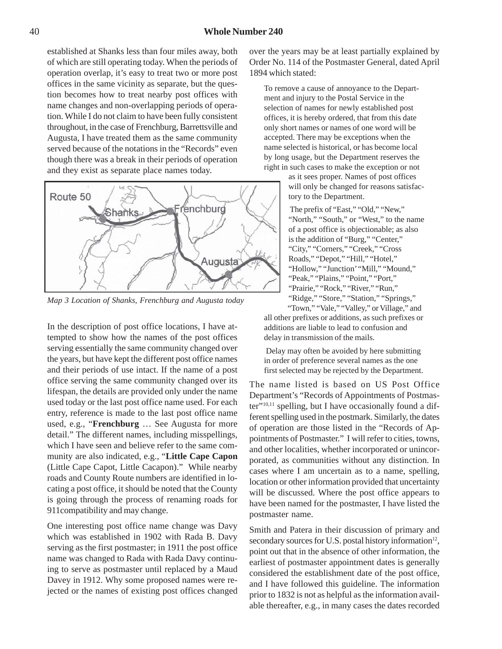established at Shanks less than four miles away, both of which are still operating today. When the periods of operation overlap, it's easy to treat two or more post offices in the same vicinity as separate, but the question becomes how to treat nearby post offices with name changes and non-overlapping periods of operation. While I do not claim to have been fully consistent throughout, in the case of Frenchburg, Barrettsville and Augusta, I have treated them as the same community served because of the notations in the "Records" even though there was a break in their periods of operation and they exist as separate place names today.



*Map 3 Location of Shanks, Frenchburg and Augusta today*

In the description of post office locations, I have attempted to show how the names of the post offices serving essentially the same community changed over the years, but have kept the different post office names and their periods of use intact. If the name of a post office serving the same community changed over its lifespan, the details are provided only under the name used today or the last post office name used. For each entry, reference is made to the last post office name used, e.g., "**Frenchburg** … See Augusta for more detail." The different names, including misspellings, which I have seen and believe refer to the same community are also indicated, e.g., "**Little Cape Capon** (Little Cape Capot, Little Cacapon)." While nearby roads and County Route numbers are identified in locating a post office, it should be noted that the County is going through the process of renaming roads for 911compatibility and may change.

One interesting post office name change was Davy which was established in 1902 with Rada B. Davy serving as the first postmaster; in 1911 the post office name was changed to Rada with Rada Davy continuing to serve as postmaster until replaced by a Maud Davey in 1912. Why some proposed names were rejected or the names of existing post offices changed over the years may be at least partially explained by Order No. 114 of the Postmaster General, dated April 1894 which stated:

To remove a cause of annoyance to the Department and injury to the Postal Service in the selection of names for newly established post offices, it is hereby ordered, that from this date only short names or names of one word will be accepted. There may be exceptions when the name selected is historical, or has become local by long usage, but the Department reserves the right in such cases to make the exception or not

> as it sees proper. Names of post offices will only be changed for reasons satisfactory to the Department.

 The prefix of "East," "Old," "New," "North," "South," or "West," to the name of a post office is objectionable; as also is the addition of "Burg," "Center," "City," "Corners," "Creek," "Cross Roads," "Depot," "Hill," "Hotel," "Hollow," "Junction' "Mill," "Mound," "Peak," "Plains," "Point," "Port," "Prairie," "Rock," "River," "Run," "Ridge," "Store," "Station," "Springs,"

"Town," "Vale," "Valley," or Village," and all other prefixes or additions, as such prefixes or additions are liable to lead to confusion and delay in transmission of the mails.

 Delay may often be avoided by here submitting in order of preference several names as the one first selected may be rejected by the Department.

The name listed is based on US Post Office Department's "Records of Appointments of Postmaster"<sup>10,11</sup> spelling, but I have occasionally found a different spelling used in the postmark. Similarly, the dates of operation are those listed in the "Records of Appointments of Postmaster." I will refer to cities, towns, and other localities, whether incorporated or unincorporated, as communities without any distinction. In cases where I am uncertain as to a name, spelling, location or other information provided that uncertainty will be discussed. Where the post office appears to have been named for the postmaster, I have listed the postmaster name.

Smith and Patera in their discussion of primary and secondary sources for U.S. postal history information<sup>12</sup>, point out that in the absence of other information, the earliest of postmaster appointment dates is generally considered the establishment date of the post office, and I have followed this guideline. The information prior to 1832 is not as helpful as the information available thereafter, e.g., in many cases the dates recorded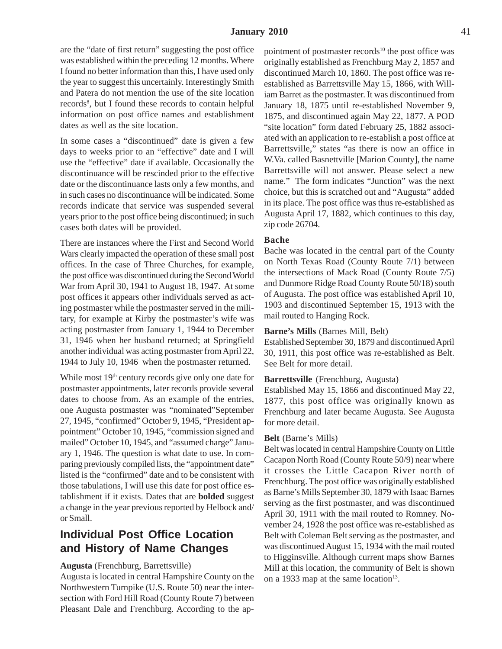are the "date of first return" suggesting the post office was established within the preceding 12 months. Where I found no better information than this, I have used only the year to suggest this uncertainly. Interestingly Smith and Patera do not mention the use of the site location records<sup>8</sup>, but I found these records to contain helpful information on post office names and establishment dates as well as the site location.

In some cases a "discontinued" date is given a few days to weeks prior to an "effective" date and I will use the "effective" date if available. Occasionally the discontinuance will be rescinded prior to the effective date or the discontinuance lasts only a few months, and in such cases no discontinuance will be indicated. Some records indicate that service was suspended several years prior to the post office being discontinued; in such cases both dates will be provided.

There are instances where the First and Second World Wars clearly impacted the operation of these small post offices. In the case of Three Churches, for example, the post office was discontinued during the Second World War from April 30, 1941 to August 18, 1947. At some post offices it appears other individuals served as acting postmaster while the postmaster served in the military, for example at Kirby the postmaster's wife was acting postmaster from January 1, 1944 to December 31, 1946 when her husband returned; at Springfield another individual was acting postmaster from April 22, 1944 to July 10, 1946 when the postmaster returned.

While most 19<sup>th</sup> century records give only one date for postmaster appointments, later records provide several dates to choose from. As an example of the entries, one Augusta postmaster was "nominated"September 27, 1945, "confirmed" October 9, 1945, "President appointment" October 10, 1945, "commission signed and mailed" October 10, 1945, and "assumed charge" January 1, 1946. The question is what date to use. In comparing previously compiled lists, the "appointment date" listed is the "confirmed" date and to be consistent with those tabulations, I will use this date for post office establishment if it exists. Dates that are **bolded** suggest a change in the year previous reported by Helbock and/ or Small.

## **Individual Post Office Location and History of Name Changes**

#### **Augusta** (Frenchburg, Barrettsville)

Augusta is located in central Hampshire County on the Northwestern Turnpike (U.S. Route 50) near the intersection with Ford Hill Road (County Route 7) between Pleasant Dale and Frenchburg. According to the appointment of postmaster records<sup>10</sup> the post office was originally established as Frenchburg May 2, 1857 and discontinued March 10, 1860. The post office was reestablished as Barrettsville May 15, 1866, with William Barret as the postmaster. It was discontinued from January 18, 1875 until re-established November 9, 1875, and discontinued again May 22, 1877. A POD "site location" form dated February 25, 1882 associated with an application to re-establish a post office at Barrettsville," states "as there is now an office in W.Va. called Basnettville [Marion County], the name Barrettsville will not answer. Please select a new name." The form indicates "Junction" was the next choice, but this is scratched out and "Augusta" added in its place. The post office was thus re-established as Augusta April 17, 1882, which continues to this day, zip code 26704.

#### **Bache**

Bache was located in the central part of the County on North Texas Road (County Route 7/1) between the intersections of Mack Road (County Route 7/5) and Dunmore Ridge Road County Route 50/18) south of Augusta. The post office was established April 10, 1903 and discontinued September 15, 1913 with the mail routed to Hanging Rock.

#### **Barne's Mills** (Barnes Mill, Belt)

Established September 30, 1879 and discontinued April 30, 1911, this post office was re-established as Belt. See Belt for more detail.

#### **Barrettsville** (Frenchburg, Augusta)

Established May 15, 1866 and discontinued May 22, 1877, this post office was originally known as Frenchburg and later became Augusta. See Augusta for more detail.

#### **Belt** (Barne's Mills)

Belt was located in central Hampshire County on Little Cacapon North Road (County Route 50/9) near where it crosses the Little Cacapon River north of Frenchburg. The post office was originally established as Barne's Mills September 30, 1879 with Isaac Barnes serving as the first postmaster, and was discontinued April 30, 1911 with the mail routed to Romney. November 24, 1928 the post office was re-established as Belt with Coleman Belt serving as the postmaster, and was discontinued August 15, 1934 with the mail routed to Higginsville. Although current maps show Barnes Mill at this location, the community of Belt is shown on a 1933 map at the same location $13$ .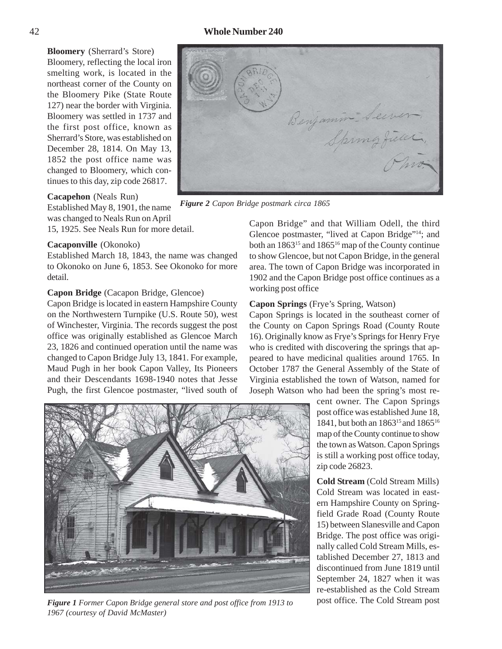#### 42 **Whole Number 240**

**Bloomery** (Sherrard's Store) Bloomery, reflecting the local iron smelting work, is located in the northeast corner of the County on the Bloomery Pike (State Route 127) near the border with Virginia. Bloomery was settled in 1737 and the first post office, known as Sherrard's Store, was established on December 28, 1814. On May 13, 1852 the post office name was changed to Bloomery, which continues to this day, zip code 26817.

#### **Cacapehon** (Neals Run)

Established May 8, 1901, the name was changed to Neals Run on April

15, 1925. See Neals Run for more detail.

#### **Cacaponville** (Okonoko)

Established March 18, 1843, the name was changed to Okonoko on June 6, 1853. See Okonoko for more detail.

#### **Capon Bridge** (Cacapon Bridge, Glencoe)

Capon Bridge is located in eastern Hampshire County on the Northwestern Turnpike (U.S. Route 50), west of Winchester, Virginia. The records suggest the post office was originally established as Glencoe March 23, 1826 and continued operation until the name was changed to Capon Bridge July 13, 1841. For example, Maud Pugh in her book Capon Valley, Its Pioneers and their Descendants 1698-1940 notes that Jesse Pugh, the first Glencoe postmaster, "lived south of



*Figure 2 Capon Bridge postmark circa 1865*

Capon Bridge" and that William Odell, the third Glencoe postmaster, "lived at Capon Bridge"14; and both an 1863<sup>15</sup> and 1865<sup>16</sup> map of the County continue to show Glencoe, but not Capon Bridge, in the general area. The town of Capon Bridge was incorporated in 1902 and the Capon Bridge post office continues as a working post office

#### **Capon Springs** (Frye's Spring, Watson)

Capon Springs is located in the southeast corner of the County on Capon Springs Road (County Route 16). Originally know as Frye's Springs for Henry Frye who is credited with discovering the springs that appeared to have medicinal qualities around 1765. In October 1787 the General Assembly of the State of Virginia established the town of Watson, named for Joseph Watson who had been the spring's most re-



*Figure 1 Former Capon Bridge general store and post office from 1913 to 1967 (courtesy of David McMaster)*

cent owner. The Capon Springs post office was established June 18, 1841, but both an 186315 and 186516 map of the County continue to show the town as Watson. Capon Springs is still a working post office today, zip code 26823.

**Cold Stream** (Cold Stream Mills) Cold Stream was located in eastern Hampshire County on Springfield Grade Road (County Route 15) between Slanesville and Capon Bridge. The post office was originally called Cold Stream Mills, established December 27, 1813 and discontinued from June 1819 until September 24, 1827 when it was re-established as the Cold Stream post office. The Cold Stream post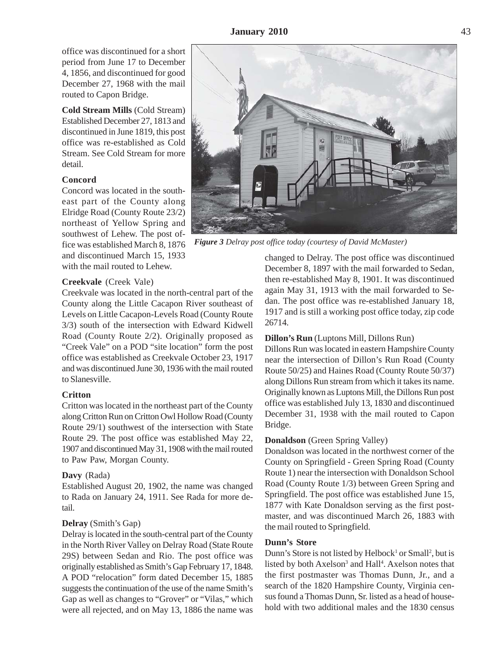office was discontinued for a short period from June 17 to December 4, 1856, and discontinued for good December 27, 1968 with the mail routed to Capon Bridge.

**Cold Stream Mills** (Cold Stream) Established December 27, 1813 and discontinued in June 1819, this post office was re-established as Cold Stream. See Cold Stream for more detail.

#### **Concord**

Concord was located in the southeast part of the County along Elridge Road (County Route 23/2) northeast of Yellow Spring and southwest of Lehew. The post office was established March 8, 1876 and discontinued March 15, 1933 with the mail routed to Lehew.

#### **Creekvale** (Creek Vale)

Creekvale was located in the north-central part of the County along the Little Cacapon River southeast of Levels on Little Cacapon-Levels Road (County Route 3/3) south of the intersection with Edward Kidwell Road (County Route 2/2). Originally proposed as "Creek Vale" on a POD "site location" form the post office was established as Creekvale October 23, 1917 and was discontinued June 30, 1936 with the mail routed to Slanesville.

#### **Critton**

Critton was located in the northeast part of the County along Critton Run on Critton Owl Hollow Road (County Route 29/1) southwest of the intersection with State Route 29. The post office was established May 22, 1907 and discontinued May 31, 1908 with the mail routed to Paw Paw, Morgan County.

#### **Davy** (Rada)

Established August 20, 1902, the name was changed to Rada on January 24, 1911. See Rada for more detail.

#### **Delray** (Smith's Gap)

Delray is located in the south-central part of the County in the North River Valley on Delray Road (State Route 29S) between Sedan and Rio. The post office was originally established as Smith's Gap February 17, 1848. A POD "relocation" form dated December 15, 1885 suggests the continuation of the use of the name Smith's Gap as well as changes to "Grover" or "Vilas," which were all rejected, and on May 13, 1886 the name was



*Figure 3 Delray post office today (courtesy of David McMaster)*

changed to Delray. The post office was discontinued December 8, 1897 with the mail forwarded to Sedan, then re-established May 8, 1901. It was discontinued again May 31, 1913 with the mail forwarded to Sedan. The post office was re-established January 18, 1917 and is still a working post office today, zip code 26714.

#### **Dillon's Run** (Luptons Mill, Dillons Run)

Dillons Run was located in eastern Hampshire County near the intersection of Dillon's Run Road (County Route 50/25) and Haines Road (County Route 50/37) along Dillons Run stream from which it takes its name. Originally known as Luptons Mill, the Dillons Run post office was established July 13, 1830 and discontinued December 31, 1938 with the mail routed to Capon Bridge.

#### **Donaldson** (Green Spring Valley)

Donaldson was located in the northwest corner of the County on Springfield - Green Spring Road (County Route 1) near the intersection with Donaldson School Road (County Route 1/3) between Green Spring and Springfield. The post office was established June 15, 1877 with Kate Donaldson serving as the first postmaster, and was discontinued March 26, 1883 with the mail routed to Springfield.

#### **Dunn's Store**

Dunn's Store is not listed by Helbock<sup>1</sup> or Small<sup>2</sup>, but is listed by both Axelson<sup>3</sup> and Hall<sup>4</sup>. Axelson notes that the first postmaster was Thomas Dunn, Jr., and a search of the 1820 Hampshire County, Virginia census found a Thomas Dunn, Sr. listed as a head of household with two additional males and the 1830 census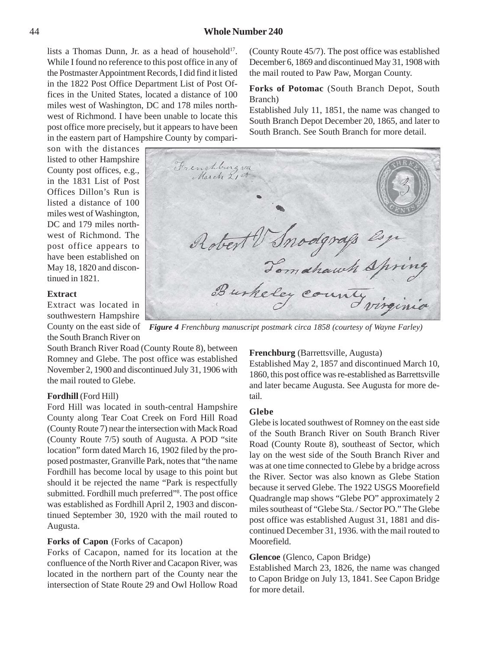lists a Thomas Dunn, Jr. as a head of household $17$ . While I found no reference to this post office in any of the Postmaster Appointment Records, I did find it listed in the 1822 Post Office Department List of Post Offices in the United States, located a distance of 100 miles west of Washington, DC and 178 miles northwest of Richmond. I have been unable to locate this post office more precisely, but it appears to have been in the eastern part of Hampshire County by compari-

son with the distances listed to other Hampshire County post offices, e.g., in the 1831 List of Post Offices Dillon's Run is listed a distance of 100 miles west of Washington, DC and 179 miles northwest of Richmond. The post office appears to have been established on May 18, 1820 and discontinued in 1821.

#### **Extract**

Extract was located in southwestern Hampshire County on the east side of the South Branch River on

South Branch River Road (County Route 8), between Romney and Glebe. The post office was established November 2, 1900 and discontinued July 31, 1906 with the mail routed to Glebe.

#### **Fordhill** (Ford Hill)

Ford Hill was located in south-central Hampshire County along Tear Coat Creek on Ford Hill Road (County Route 7) near the intersection with Mack Road (County Route 7/5) south of Augusta. A POD "site location" form dated March 16, 1902 filed by the proposed postmaster, Granville Park, notes that "the name Fordhill has become local by usage to this point but should it be rejected the name "Park is respectfully submitted. Fordhill much preferred"<sup>8</sup>. The post office was established as Fordhill April 2, 1903 and discontinued September 30, 1920 with the mail routed to Augusta.

#### **Forks of Capon** (Forks of Cacapon)

Forks of Cacapon, named for its location at the confluence of the North River and Cacapon River, was located in the northern part of the County near the intersection of State Route 29 and Owl Hollow Road (County Route 45/7). The post office was established December 6, 1869 and discontinued May 31, 1908 with the mail routed to Paw Paw, Morgan County.

**Forks of Potomac** (South Branch Depot, South Branch)

Established July 11, 1851, the name was changed to South Branch Depot December 20, 1865, and later to South Branch. See South Branch for more detail.

Frenchburg va Robert V Snodgrafs esp

*Figure 4 Frenchburg manuscript postmark circa 1858 (courtesy of Wayne Farley)*

#### **Frenchburg** (Barrettsville, Augusta)

Established May 2, 1857 and discontinued March 10, 1860, this post office was re-established as Barrettsville and later became Augusta. See Augusta for more detail.

#### **Glebe**

Glebe is located southwest of Romney on the east side of the South Branch River on South Branch River Road (County Route 8), southeast of Sector, which lay on the west side of the South Branch River and was at one time connected to Glebe by a bridge across the River. Sector was also known as Glebe Station because it served Glebe. The 1922 USGS Moorefield Quadrangle map shows "Glebe PO" approximately 2 miles southeast of "Glebe Sta. / Sector PO." The Glebe post office was established August 31, 1881 and discontinued December 31, 1936. with the mail routed to Moorefield.

#### **Glencoe** (Glenco, Capon Bridge)

Established March 23, 1826, the name was changed to Capon Bridge on July 13, 1841. See Capon Bridge for more detail.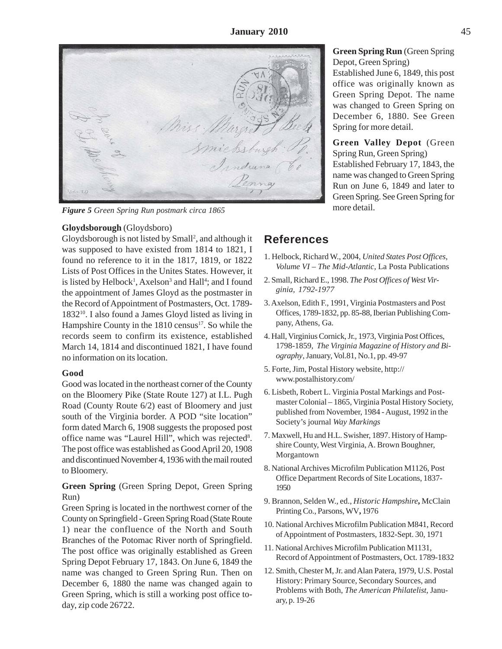Miss Margre Smichs

*Figure 5 Green Spring Run postmark circa 1865*

#### **Gloydsborough** (Gloydsboro)

Gloydsborough is not listed by Small<sup>2</sup>, and although it was supposed to have existed from 1814 to 1821, I found no reference to it in the 1817, 1819, or 1822 Lists of Post Offices in the Unites States. However, it is listed by Helbock<sup>1</sup>, Axelson<sup>3</sup> and Hall<sup>4</sup>; and I found the appointment of James Gloyd as the postmaster in the Record of Appointment of Postmasters, Oct. 1789- 183210. I also found a James Gloyd listed as living in Hampshire County in the 1810 census<sup>17</sup>. So while the records seem to confirm its existence, established March 14, 1814 and discontinued 1821, I have found no information on its location.

#### **Good**

Good was located in the northeast corner of the County on the Bloomery Pike (State Route 127) at I.L. Pugh Road (County Route 6/2) east of Bloomery and just south of the Virginia border. A POD "site location" form dated March 6, 1908 suggests the proposed post office name was "Laurel Hill", which was rejected<sup>8</sup>. The post office was established as Good April 20, 1908 and discontinued November 4, 1936 with the mail routed to Bloomery.

**Green Spring** (Green Spring Depot, Green Spring Run)

Green Spring is located in the northwest corner of the County on Springfield - Green Spring Road (State Route 1) near the confluence of the North and South Branches of the Potomac River north of Springfield. The post office was originally established as Green Spring Depot February 17, 1843. On June 6, 1849 the name was changed to Green Spring Run. Then on December 6, 1880 the name was changed again to Green Spring, which is still a working post office today, zip code 26722.

### **Green Spring Run** (Green Spring Depot, Green Spring)

Established June 6, 1849, this post office was originally known as Green Spring Depot. The name was changed to Green Spring on December 6, 1880. See Green Spring for more detail.

**Green Valley Depot** (Green Spring Run, Green Spring) Established February 17, 1843, the name was changed to Green Spring Run on June 6, 1849 and later to Green Spring. See Green Spring for more detail.

### **References**

- 1. Helbock, Richard W., 2004, *United States Post Offices, Volume VI – The Mid-Atlantic*, La Posta Publications
- 2. Small, Richard E., 1998. *The Post Offices of West Virginia, 1792-1977*
- 3. Axelson, Edith F., 1991, Virginia Postmasters and Post Offices, 1789-1832, pp. 85-88, Iberian Publishing Company, Athens, Ga.
- 4. Hall, Virginius Cornick, Jr., 1973, Virginia Post Offices, 1798-1859, *The Virginia Magazine of History and Biography*, January, Vol.81, No.1, pp. 49-97
- 5. Forte, Jim, Postal History website, http:// www.postalhistory.com/
- 6. Lisbeth, Robert L. Virginia Postal Markings and Postmaster Colonial – 1865, Virginia Postal History Society, published from November, 1984 - August, 1992 in the Society's journal *Way Markings*
- 7. Maxwell, Hu and H.L. Swisher, 1897. History of Hampshire County, West Virginia, A. Brown Boughner, Morgantown
- 8. National Archives Microfilm Publication M1126, Post Office Department Records of Site Locations, 1837- 1950
- 9. Brannon, Selden W., ed., *Historic Hampshire***,** McClain Printing Co., Parsons, WV**,** 1976
- 10. National Archives Microfilm Publication M841, Record of Appointment of Postmasters, 1832-Sept. 30, 1971
- 11. National Archives Microfilm Publication M1131, Record of Appointment of Postmasters, Oct. 1789-1832
- 12. Smith, Chester M, Jr. and Alan Patera, 1979, U.S. Postal History: Primary Source, Secondary Sources, and Problems with Both, *The American Philatelist*, January, p. 19-26